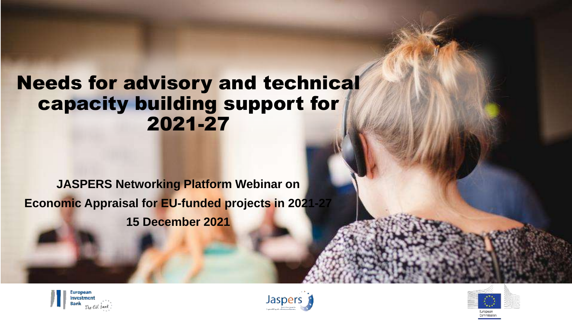## Needs for advisory and technical capacity building support for 2021-27

## **JASPERS Networking Platform Webinar on Economic Appraisal for EU-funded projects in 2021-27**

**15 December 2021**





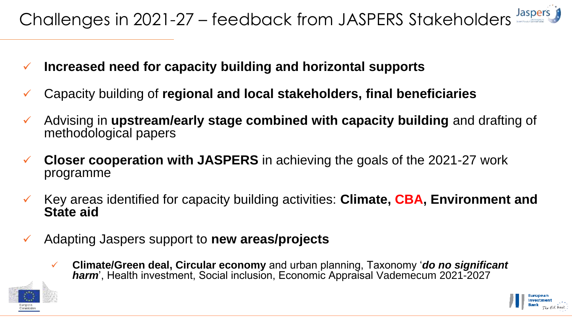- **Increased need for capacity building and horizontal supports**
- Capacity building of **regional and local stakeholders, final beneficiaries**
- Advising in **upstream/early stage combined with capacity building** and drafting of methodological papers
- **Closer cooperation with JASPERS** in achieving the goals of the 2021-27 work programme
- Key areas identified for capacity building activities: **Climate, CBA, Environment and State aid**
- Adapting Jaspers support to **new areas/projects** 
	- **Climate/Green deal, Circular economy** and urban planning, Taxonomy '*do no significant harm*', Health investment, Social inclusion, Economic Appraisal Vademecum 2021-2027



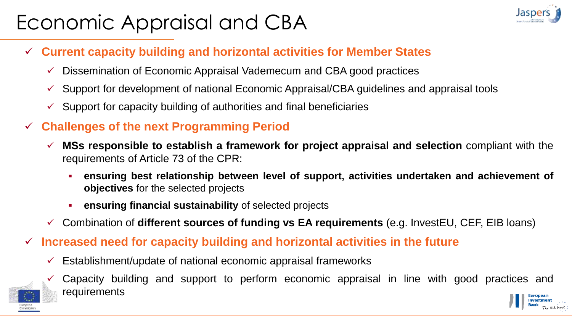# Economic Appraisal and CBA



- **Current capacity building and horizontal activities for Member States**
	- $\checkmark$  Dissemination of Economic Appraisal Vademecum and CBA good practices
	- $\checkmark$  Support for development of national Economic Appraisal/CBA guidelines and appraisal tools
	- $\checkmark$  Support for capacity building of authorities and final beneficiaries

#### **Challenges of the next Programming Period**

- **MSs responsible to establish a framework for project appraisal and selection** compliant with the requirements of Article 73 of the CPR:
	- **ensuring best relationship between level of support, activities undertaken and achievement of objectives** for the selected projects
	- **ensuring financial sustainability** of selected projects
- Combination of **different sources of funding vs EA requirements** (e.g. InvestEU, CEF, EIB loans)
- **Increased need for capacity building and horizontal activities in the future**
	- $\checkmark$  Establishment/update of national economic appraisal frameworks

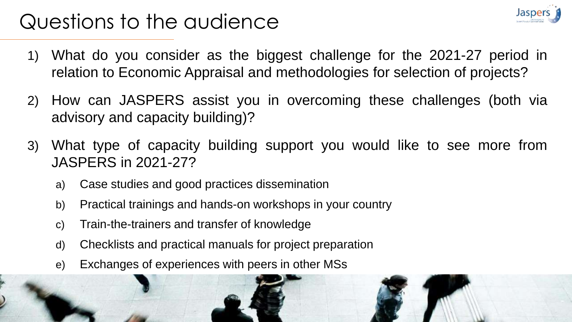# Questions to the audience

- 1) What do you consider as the biggest challenge for the 2021-27 period in relation to Economic Appraisal and methodologies for selection of projects?
- 2) How can JASPERS assist you in overcoming these challenges (both via advisory and capacity building)?
- 3) What type of capacity building support you would like to see more from JASPERS in 2021-27?
	- a) Case studies and good practices dissemination
	- b) Practical trainings and hands-on workshops in your country
	- c) Train-the-trainers and transfer of knowledge
	- d) Checklists and practical manuals for project preparation
	- e) Exchanges of experiences with peers in other MSs